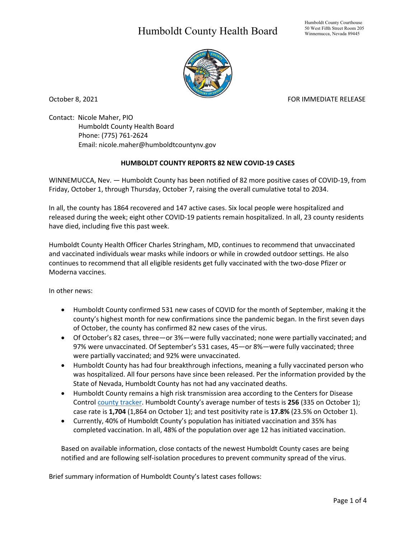## Humboldt County Health Board



October 8, 2021 **FOR IMMEDIATE RELEASE** 

Contact: Nicole Maher, PIO Humboldt County Health Board Phone: (775) 761-2624 Email: nicole.maher@humboldtcountynv.gov

## **HUMBOLDT COUNTY REPORTS 82 NEW COVID-19 CASES**

WINNEMUCCA, Nev. — Humboldt County has been notified of 82 more positive cases of COVID-19, from Friday, October 1, through Thursday, October 7, raising the overall cumulative total to 2034.

In all, the county has 1864 recovered and 147 active cases. Six local people were hospitalized and released during the week; eight other COVID-19 patients remain hospitalized. In all, 23 county residents have died, including five this past week.

Humboldt County Health Officer Charles Stringham, MD, continues to recommend that unvaccinated and vaccinated individuals wear masks while indoors or while in crowded outdoor settings. He also continues to recommend that all eligible residents get fully vaccinated with the two-dose Pfizer or Moderna vaccines.

In other news:

- Humboldt County confirmed 531 new cases of COVID for the month of September, making it the county's highest month for new confirmations since the pandemic began. In the first seven days of October, the county has confirmed 82 new cases of the virus.
- Of October's 82 cases, three—or 3%—were fully vaccinated; none were partially vaccinated; and 97% were unvaccinated. Of September's 531 cases, 45—or 8%—were fully vaccinated; three were partially vaccinated; and 92% were unvaccinated.
- Humboldt County has had four breakthrough infections, meaning a fully vaccinated person who was hospitalized. All four persons have since been released. Per the information provided by the State of Nevada, Humboldt County has not had any vaccinated deaths.
- Humboldt County remains a high risk transmission area according to the Centers for Disease Control [county tracker.](https://covid.cdc.gov/covid-data-tracker/#county-view) Humboldt County's average number of tests is **256** (335 on October 1); case rate is **1,704** (1,864 on October 1); and test positivity rate is **17.8%** (23.5% on October 1).
- Currently, 40% of Humboldt County's population has initiated vaccination and 35% has completed vaccination. In all, 48% of the population over age 12 has initiated vaccination.

Based on available information, close contacts of the newest Humboldt County cases are being notified and are following self-isolation procedures to prevent community spread of the virus.

Brief summary information of Humboldt County's latest cases follows: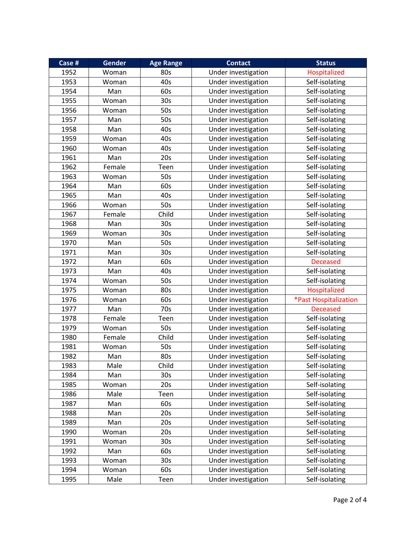| Case # | Gender | <b>Age Range</b> | <b>Contact</b>      | <b>Status</b>         |
|--------|--------|------------------|---------------------|-----------------------|
| 1952   | Woman  | 80s              | Under investigation | Hospitalized          |
| 1953   | Woman  | 40s              | Under investigation | Self-isolating        |
| 1954   | Man    | 60s              | Under investigation | Self-isolating        |
| 1955   | Woman  | 30 <sub>s</sub>  | Under investigation | Self-isolating        |
| 1956   | Woman  | 50s              | Under investigation | Self-isolating        |
| 1957   | Man    | 50s              | Under investigation | Self-isolating        |
| 1958   | Man    | 40s              | Under investigation | Self-isolating        |
| 1959   | Woman  | 40s              | Under investigation | Self-isolating        |
| 1960   | Woman  | 40s              | Under investigation | Self-isolating        |
| 1961   | Man    | 20s              | Under investigation | Self-isolating        |
| 1962   | Female | Teen             | Under investigation | Self-isolating        |
| 1963   | Woman  | 50s              | Under investigation | Self-isolating        |
| 1964   | Man    | 60s              | Under investigation | Self-isolating        |
| 1965   | Man    | 40s              | Under investigation | Self-isolating        |
| 1966   | Woman  | 50s              | Under investigation | Self-isolating        |
| 1967   | Female | Child            | Under investigation | Self-isolating        |
| 1968   | Man    | 30 <sub>s</sub>  | Under investigation | Self-isolating        |
| 1969   | Woman  | 30s              | Under investigation | Self-isolating        |
| 1970   | Man    | 50s              | Under investigation | Self-isolating        |
| 1971   | Man    | 30 <sub>s</sub>  | Under investigation | Self-isolating        |
| 1972   | Man    | 60s              | Under investigation | <b>Deceased</b>       |
| 1973   | Man    | 40s              | Under investigation | Self-isolating        |
| 1974   | Woman  | 50s              | Under investigation | Self-isolating        |
| 1975   | Woman  | 80s              | Under investigation | Hospitalized          |
| 1976   | Woman  | 60s              | Under investigation | *Past Hospitalization |
| 1977   | Man    | 70s              | Under investigation | <b>Deceased</b>       |
| 1978   | Female | Teen             | Under investigation | Self-isolating        |
| 1979   | Woman  | 50s              | Under investigation | Self-isolating        |
| 1980   | Female | Child            | Under investigation | Self-isolating        |
| 1981   | Woman  | 50s              | Under investigation | Self-isolating        |
| 1982   | Man    | 80s              | Under investigation | Self-isolating        |
| 1983   | Male   | Child            | Under investigation | Self-isolating        |
| 1984   | Man    | 30 <sub>s</sub>  | Under investigation | Self-isolating        |
| 1985   | Woman  | 20s              | Under investigation | Self-isolating        |
| 1986   | Male   | Teen             | Under investigation | Self-isolating        |
| 1987   | Man    | 60s              | Under investigation | Self-isolating        |
| 1988   | Man    | 20s              | Under investigation | Self-isolating        |
| 1989   | Man    | 20s              | Under investigation | Self-isolating        |
| 1990   | Woman  | 20s              | Under investigation | Self-isolating        |
| 1991   | Woman  | 30 <sub>s</sub>  | Under investigation | Self-isolating        |
| 1992   | Man    | 60s              | Under investigation | Self-isolating        |
| 1993   | Woman  | 30 <sub>s</sub>  | Under investigation | Self-isolating        |
| 1994   | Woman  | 60s              | Under investigation | Self-isolating        |
| 1995   | Male   | Teen             | Under investigation | Self-isolating        |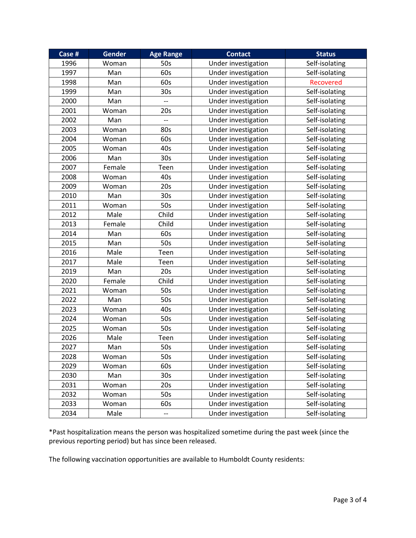| Case # | Gender | <b>Age Range</b> | <b>Contact</b>      | <b>Status</b>    |
|--------|--------|------------------|---------------------|------------------|
| 1996   | Woman  | 50s              | Under investigation | Self-isolating   |
| 1997   | Man    | 60s              | Under investigation | Self-isolating   |
| 1998   | Man    | 60s              | Under investigation | <b>Recovered</b> |
| 1999   | Man    | 30 <sub>s</sub>  | Under investigation | Self-isolating   |
| 2000   | Man    |                  | Under investigation | Self-isolating   |
| 2001   | Woman  | 20s              | Under investigation | Self-isolating   |
| 2002   | Man    | $-$              | Under investigation | Self-isolating   |
| 2003   | Woman  | 80s              | Under investigation | Self-isolating   |
| 2004   | Woman  | 60s              | Under investigation | Self-isolating   |
| 2005   | Woman  | 40s              | Under investigation | Self-isolating   |
| 2006   | Man    | 30 <sub>s</sub>  | Under investigation | Self-isolating   |
| 2007   | Female | Teen             | Under investigation | Self-isolating   |
| 2008   | Woman  | 40s              | Under investigation | Self-isolating   |
| 2009   | Woman  | 20s              | Under investigation | Self-isolating   |
| 2010   | Man    | 30 <sub>s</sub>  | Under investigation | Self-isolating   |
| 2011   | Woman  | 50s              | Under investigation | Self-isolating   |
| 2012   | Male   | Child            | Under investigation | Self-isolating   |
| 2013   | Female | Child            | Under investigation | Self-isolating   |
| 2014   | Man    | 60s              | Under investigation | Self-isolating   |
| 2015   | Man    | 50s              | Under investigation | Self-isolating   |
| 2016   | Male   | Teen             | Under investigation | Self-isolating   |
| 2017   | Male   | Teen             | Under investigation | Self-isolating   |
| 2019   | Man    | 20s              | Under investigation | Self-isolating   |
| 2020   | Female | Child            | Under investigation | Self-isolating   |
| 2021   | Woman  | 50s              | Under investigation | Self-isolating   |
| 2022   | Man    | 50s              | Under investigation | Self-isolating   |
| 2023   | Woman  | 40s              | Under investigation | Self-isolating   |
| 2024   | Woman  | 50s              | Under investigation | Self-isolating   |
| 2025   | Woman  | 50s              | Under investigation | Self-isolating   |
| 2026   | Male   | Teen             | Under investigation | Self-isolating   |
| 2027   | Man    | 50s              | Under investigation | Self-isolating   |
| 2028   | Woman  | 50s              | Under investigation | Self-isolating   |
| 2029   | Woman  | 60s              | Under investigation | Self-isolating   |
| 2030   | Man    | 30 <sub>s</sub>  | Under investigation | Self-isolating   |
| 2031   | Woman  | 20s              | Under investigation | Self-isolating   |
| 2032   | Woman  | 50s              | Under investigation | Self-isolating   |
| 2033   | Woman  | 60s              | Under investigation | Self-isolating   |
| 2034   | Male   | --               | Under investigation | Self-isolating   |

\*Past hospitalization means the person was hospitalized sometime during the past week (since the previous reporting period) but has since been released.

The following vaccination opportunities are available to Humboldt County residents: